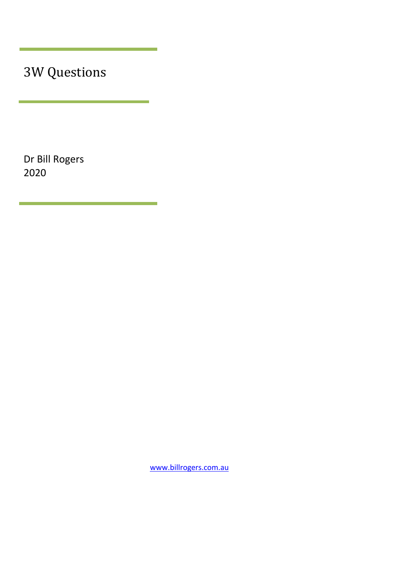3W Questions

Dr Bill Rogers 2020

[www.billrogers.com.au](http://www.billrogers.com.au/)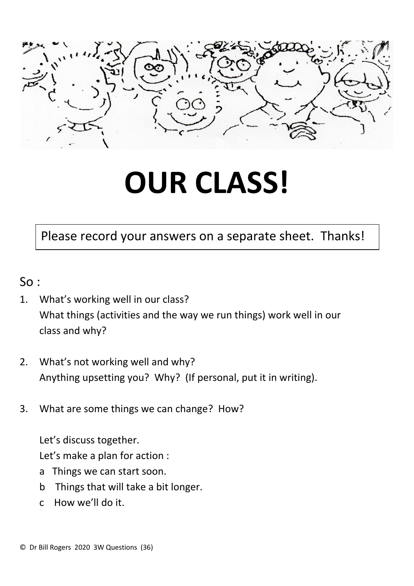

## **OUR CLASS!**

## Please record your answers on a separate sheet. Thanks!

- So :
- 1. What's working well in our class? What things (activities and the way we run things) work well in our class and why?
- 2. What's not working well and why? Anything upsetting you? Why? (If personal, put it in writing).
- 3. What are some things we can change? How?

Let's discuss together.

Let's make a plan for action :

- a Things we can start soon.
- b Things that will take a bit longer.
- c How we'll do it.